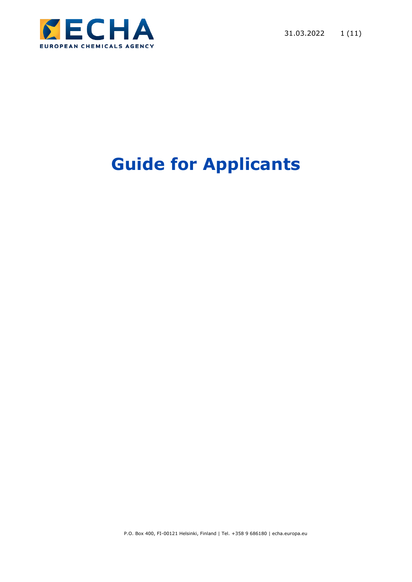

# **Guide for Applicants**

P.O. Box 400, FI-00121 Helsinki, Finland | Tel. +358 9 686180 | echa.europa.eu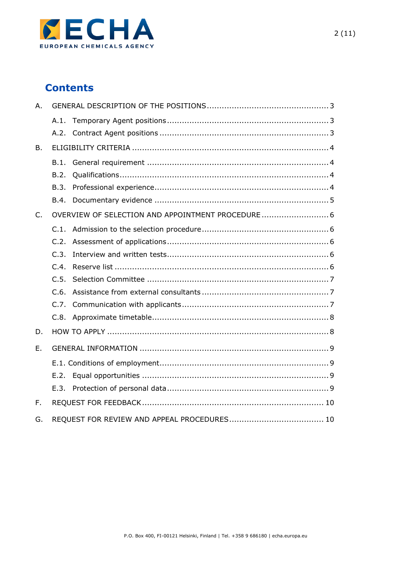

# **Contents**

| A.           |                                                   |  |  |
|--------------|---------------------------------------------------|--|--|
|              | A.1.                                              |  |  |
|              |                                                   |  |  |
| B.           |                                                   |  |  |
|              | B.1.                                              |  |  |
|              | B.2.                                              |  |  |
|              | B.3.                                              |  |  |
|              | B.4.                                              |  |  |
| $C_{1}$      | OVERVIEW OF SELECTION AND APPOINTMENT PROCEDURE 6 |  |  |
|              | C.1.                                              |  |  |
|              | C.2.                                              |  |  |
|              | C.3.                                              |  |  |
|              | C.4                                               |  |  |
|              | C.5.                                              |  |  |
|              | C.6.                                              |  |  |
|              | C.7.                                              |  |  |
|              | C.8.                                              |  |  |
| D.           |                                                   |  |  |
| E.           |                                                   |  |  |
|              |                                                   |  |  |
|              | E.2.                                              |  |  |
|              | E.3.                                              |  |  |
| $F_{\rm{H}}$ |                                                   |  |  |
| G.           |                                                   |  |  |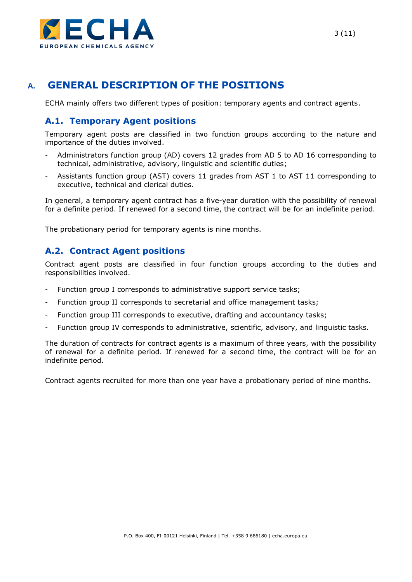

# <span id="page-2-0"></span>**A. GENERAL DESCRIPTION OF THE POSITIONS**

ECHA mainly offers two different types of position: temporary agents and contract agents.

#### <span id="page-2-1"></span>**A.1. Temporary Agent positions**

Temporary agent posts are classified in two function groups according to the nature and importance of the duties involved.

- Administrators function group (AD) covers 12 grades from AD 5 to AD 16 corresponding to technical, administrative, advisory, linguistic and scientific duties;
- Assistants function group (AST) covers 11 grades from AST 1 to AST 11 corresponding to executive, technical and clerical duties.

In general, a temporary agent contract has a five-year duration with the possibility of renewal for a definite period. If renewed for a second time, the contract will be for an indefinite period.

The probationary period for temporary agents is nine months.

#### <span id="page-2-2"></span>**A.2. Contract Agent positions**

Contract agent posts are classified in four function groups according to the duties and responsibilities involved.

- Function group I corresponds to administrative support service tasks;
- Function group II corresponds to secretarial and office management tasks;
- Function group III corresponds to executive, drafting and accountancy tasks;
- Function group IV corresponds to administrative, scientific, advisory, and linguistic tasks.

The duration of contracts for contract agents is a maximum of three years, with the possibility of renewal for a definite period. If renewed for a second time, the contract will be for an indefinite period.

Contract agents recruited for more than one year have a probationary period of nine months.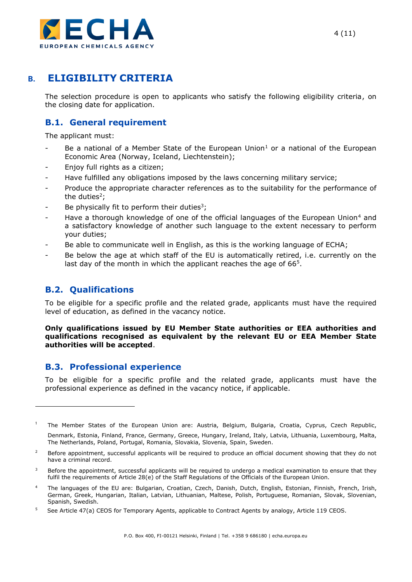

## <span id="page-3-0"></span>**B. ELIGIBILITY CRITERIA**

The selection procedure is open to applicants who satisfy the following eligibility criteria, on the closing date for application.

## <span id="page-3-1"></span>**B.1. General requirement**

The applicant must:

- Be a national of a Member State of the European Union<sup>1</sup> or a national of the European Economic Area (Norway, Iceland, Liechtenstein);
- Enjoy full rights as a citizen;
- Have fulfilled any obligations imposed by the laws concerning military service;
- Produce the appropriate character references as to the suitability for the performance of the duties<sup>2</sup>;
- Be physically fit to perform their duties<sup>3</sup>;
- Have a thorough knowledge of one of the official languages of the European Union<sup>4</sup> and a satisfactory knowledge of another such language to the extent necessary to perform your duties;
- Be able to communicate well in English, as this is the working language of ECHA;
- Be below the age at which staff of the EU is automatically retired, i.e. currently on the last day of the month in which the applicant reaches the age of 66<sup>5</sup>.

## <span id="page-3-2"></span>**B.2. Qualifications**

To be eligible for a specific profile and the related grade, applicants must have the required level of education, as defined in the vacancy notice.

**Only qualifications issued by EU Member State authorities or EEA authorities and qualifications recognised as equivalent by the relevant EU or EEA Member State authorities will be accepted**.

#### <span id="page-3-3"></span>**B.3. Professional experience**

To be eligible for a specific profile and the related grade, applicants must have the professional experience as defined in the vacancy notice, if applicable.

<sup>1</sup> The Member States of the European Union are: Austria, Belgium, Bulgaria, Croatia, Cyprus, Czech Republic, Denmark, Estonia, Finland, France, Germany, Greece, Hungary, Ireland, Italy, Latvia, Lithuania, Luxembourg, Malta, The Netherlands, Poland, Portugal, Romania, Slovakia, Slovenia, Spain, Sweden.

<sup>&</sup>lt;sup>2</sup> Before appointment, successful applicants will be required to produce an official document showing that they do not have a criminal record.

Before the appointment, successful applicants will be required to undergo a medical examination to ensure that they fulfil the requirements of Article 28(e) of the Staff Regulations of the Officials of the European Union.

<sup>4</sup> The languages of the EU are: Bulgarian, Croatian, Czech, Danish, Dutch, English, Estonian, Finnish, French, Irish, German, Greek, Hungarian, Italian, Latvian, Lithuanian, Maltese, Polish, Portuguese, Romanian, Slovak, Slovenian, Spanish, Swedish.

<sup>5</sup> See Article 47(a) CEOS for Temporary Agents, applicable to Contract Agents by analogy, Article 119 CEOS.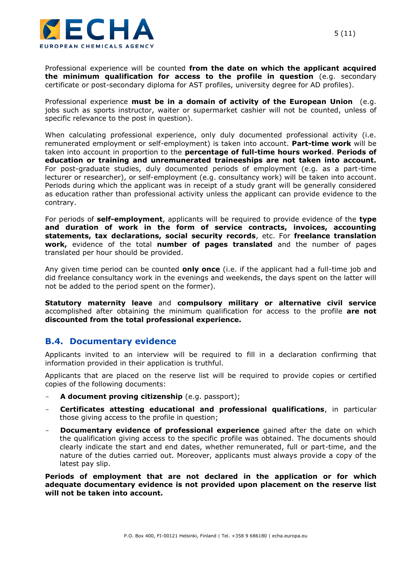

Professional experience will be counted **from the date on which the applicant acquired the minimum qualification for access to the profile in question** (e.g. secondary certificate or post-secondary diploma for AST profiles, university degree for AD profiles).

Professional experience **must be in a domain of activity of the European Union** (e.g. jobs such as sports instructor, waiter or supermarket cashier will not be counted, unless of specific relevance to the post in question).

When calculating professional experience, only duly documented professional activity (i.e. remunerated employment or self-employment) is taken into account. **Part-time work** will be taken into account in proportion to the **percentage of full-time hours worked**. **Periods of education or training and unremunerated traineeships are not taken into account.**  For post-graduate studies, duly documented periods of employment (e.g. as a part-time lecturer or researcher), or self-employment (e.g. consultancy work) will be taken into account. Periods during which the applicant was in receipt of a study grant will be generally considered as education rather than professional activity unless the applicant can provide evidence to the contrary.

For periods of **self-employment**, applicants will be required to provide evidence of the **type and duration of work in the form of service contracts, invoices, accounting statements, tax declarations, social security records**, etc. For **freelance translation work,** evidence of the total **number of pages translated** and the number of pages translated per hour should be provided.

Any given time period can be counted **only once** (i.e. if the applicant had a full-time job and did freelance consultancy work in the evenings and weekends, the days spent on the latter will not be added to the period spent on the former).

**Statutory maternity leave** and **compulsory military or alternative civil service** accomplished after obtaining the minimum qualification for access to the profile **are not discounted from the total professional experience.**

#### <span id="page-4-0"></span>**B.4. Documentary evidence**

Applicants invited to an interview will be required to fill in a declaration confirming that information provided in their application is truthful.

Applicants that are placed on the reserve list will be required to provide copies or certified copies of the following documents:

- A document proving citizenship (e.g. passport);
- **Certificates attesting educational and professional qualifications**, in particular those giving access to the profile in question;
- **Documentary evidence of professional experience** gained after the date on which the qualification giving access to the specific profile was obtained. The documents should clearly indicate the start and end dates, whether remunerated, full or part-time, and the nature of the duties carried out. Moreover, applicants must always provide a copy of the latest pay slip.

**Periods of employment that are not declared in the application or for which adequate documentary evidence is not provided upon placement on the reserve list will not be taken into account.**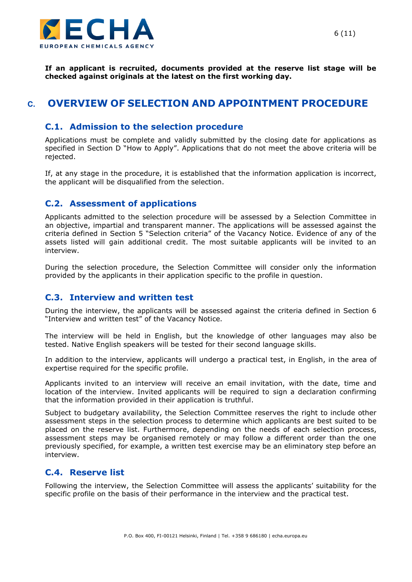

**If an applicant is recruited, documents provided at the reserve list stage will be checked against originals at the latest on the first working day.** 

## <span id="page-5-0"></span>**C. OVERVIEW OF SELECTION AND APPOINTMENT PROCEDURE**

#### <span id="page-5-1"></span>**C.1. Admission to the selection procedure**

Applications must be complete and validly submitted by the closing date for applications as specified in Section D "How to Apply". Applications that do not meet the above criteria will be rejected.

If, at any stage in the procedure, it is established that the information application is incorrect, the applicant will be disqualified from the selection.

#### <span id="page-5-2"></span>**C.2. Assessment of applications**

Applicants admitted to the selection procedure will be assessed by a Selection Committee in an objective, impartial and transparent manner. The applications will be assessed against the criteria defined in Section 5 "Selection criteria" of the Vacancy Notice. Evidence of any of the assets listed will gain additional credit. The most suitable applicants will be invited to an interview.

During the selection procedure, the Selection Committee will consider only the information provided by the applicants in their application specific to the profile in question.

#### <span id="page-5-3"></span>**C.3. Interview and written test**

During the interview, the applicants will be assessed against the criteria defined in Section 6 "Interview and written test" of the Vacancy Notice.

The interview will be held in English, but the knowledge of other languages may also be tested. Native English speakers will be tested for their second language skills.

In addition to the interview, applicants will undergo a practical test, in English, in the area of expertise required for the specific profile.

Applicants invited to an interview will receive an email invitation, with the date, time and location of the interview. Invited applicants will be required to sign a declaration confirming that the information provided in their application is truthful.

Subject to budgetary availability, the Selection Committee reserves the right to include other assessment steps in the selection process to determine which applicants are best suited to be placed on the reserve list. Furthermore, depending on the needs of each selection process, assessment steps may be organised remotely or may follow a different order than the one previously specified, for example, a written test exercise may be an eliminatory step before an interview.

#### <span id="page-5-4"></span>**C.4. Reserve list**

Following the interview, the Selection Committee will assess the applicants' suitability for the specific profile on the basis of their performance in the interview and the practical test.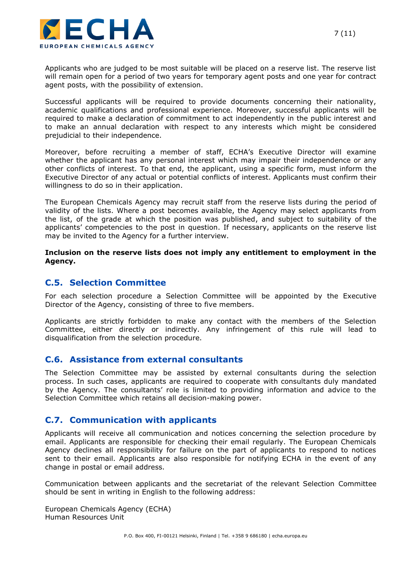

Applicants who are judged to be most suitable will be placed on a reserve list. The reserve list will remain open for a period of two years for temporary agent posts and one year for contract agent posts, with the possibility of extension.

Successful applicants will be required to provide documents concerning their nationality, academic qualifications and professional experience. Moreover, successful applicants will be required to make a declaration of commitment to act independently in the public interest and to make an annual declaration with respect to any interests which might be considered prejudicial to their independence.

Moreover, before recruiting a member of staff, ECHA's Executive Director will examine whether the applicant has any personal interest which may impair their independence or any other conflicts of interest. To that end, the applicant, using a specific form, must inform the Executive Director of any actual or potential conflicts of interest. Applicants must confirm their willingness to do so in their application.

The European Chemicals Agency may recruit staff from the reserve lists during the period of validity of the lists. Where a post becomes available, the Agency may select applicants from the list, of the grade at which the position was published, and subject to suitability of the applicants' competencies to the post in question. If necessary, applicants on the reserve list may be invited to the Agency for a further interview.

**Inclusion on the reserve lists does not imply any entitlement to employment in the Agency.**

#### <span id="page-6-0"></span>**C.5. Selection Committee**

For each selection procedure a Selection Committee will be appointed by the Executive Director of the Agency, consisting of three to five members.

Applicants are strictly forbidden to make any contact with the members of the Selection Committee, either directly or indirectly. Any infringement of this rule will lead to disqualification from the selection procedure.

#### <span id="page-6-1"></span>**C.6. Assistance from external consultants**

The Selection Committee may be assisted by external consultants during the selection process. In such cases, applicants are required to cooperate with consultants duly mandated by the Agency. The consultants' role is limited to providing information and advice to the Selection Committee which retains all decision-making power.

#### <span id="page-6-2"></span>**C.7. Communication with applicants**

Applicants will receive all communication and notices concerning the selection procedure by email. Applicants are responsible for checking their email regularly. The European Chemicals Agency declines all responsibility for failure on the part of applicants to respond to notices sent to their email. Applicants are also responsible for notifying ECHA in the event of any change in postal or email address.

Communication between applicants and the secretariat of the relevant Selection Committee should be sent in writing in English to the following address:

European Chemicals Agency (ECHA) Human Resources Unit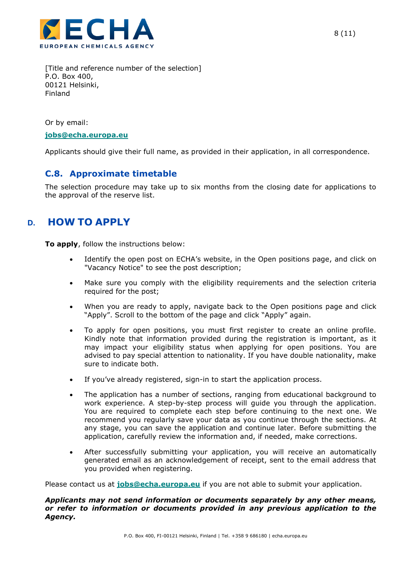

[Title and reference number of the selection] P.O. Box 400, 00121 Helsinki, Finland

Or by email:

#### **[jobs@echa.europa.eu](mailto:jobs@echa.europa.eu)**

Applicants should give their full name, as provided in their application, in all correspondence.

#### <span id="page-7-0"></span>**C.8. Approximate timetable**

The selection procedure may take up to six months from the closing date for applications to the approval of the reserve list.

## <span id="page-7-1"></span>**D. HOW TO APPLY**

**To apply**, follow the instructions below:

- Identify the open post on ECHA's website, in the Open positions page, and click on "Vacancy Notice" to see the post description;
- Make sure you comply with the eligibility requirements and the selection criteria required for the post;
- When you are ready to apply, navigate back to the Open positions page and click "Apply". Scroll to the bottom of the page and click "Apply" again.
- To apply for open positions, you must first register to create an online profile. Kindly note that information provided during the registration is important, as it may impact your eligibility status when applying for open positions. You are advised to pay special attention to nationality. If you have double nationality, make sure to indicate both.
- If you've already registered, sign-in to start the application process.
- The application has a number of sections, ranging from educational background to work experience. A step-by-step process will guide you through the application. You are required to complete each step before continuing to the next one. We recommend you regularly save your data as you continue through the sections. At any stage, you can save the application and continue later. Before submitting the application, carefully review the information and, if needed, make corrections.
- After successfully submitting your application, you will receive an automatically generated email as an acknowledgement of receipt, sent to the email address that you provided when registering.

Please contact us at **[jobs@echa.europa.eu](mailto:jobs@echa.europa.eu)** if you are not able to submit your application.

#### *Applicants may not send information or documents separately by any other means, or refer to information or documents provided in any previous application to the Agency.*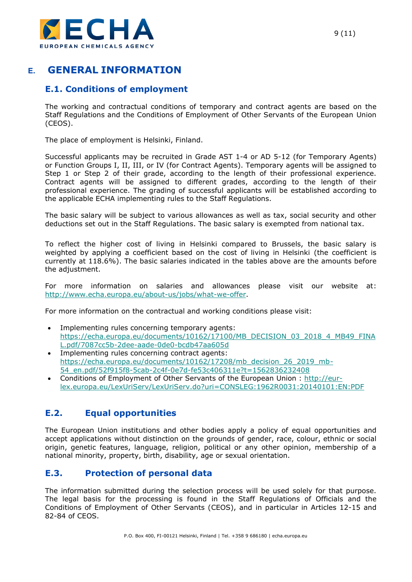

# <span id="page-8-0"></span>**E. GENERAL INFORMATION**

## <span id="page-8-1"></span>**E.1. Conditions of employment**

The working and contractual conditions of temporary and contract agents are based on the Staff Regulations and the Conditions of Employment of Other Servants of the European Union (CEOS).

The place of employment is Helsinki, Finland.

Successful applicants may be recruited in Grade AST 1-4 or AD 5-12 (for Temporary Agents) or Function Groups I, II, III, or IV (for Contract Agents). Temporary agents will be assigned to Step 1 or Step 2 of their grade, according to the length of their professional experience. Contract agents will be assigned to different grades, according to the length of their professional experience. The grading of successful applicants will be established according to the applicable ECHA implementing rules to the Staff Regulations.

The basic salary will be subject to various allowances as well as tax, social security and other deductions set out in the Staff Regulations. The basic salary is exempted from national tax.

To reflect the higher cost of living in Helsinki compared to Brussels, the basic salary is weighted by applying a coefficient based on the cost of living in Helsinki (the coefficient is currently at 118.6%). The basic salaries indicated in the tables above are the amounts before the adjustment.

For more information on salaries and allowances please visit our website at: [http://www.echa.europa.eu/about-us/jobs/what-we-offer.](http://www.echa.europa.eu/about-us/jobs/what-we-offer)

For more information on the contractual and working conditions please visit:

- Implementing rules concerning temporary agents: [https://echa.europa.eu/documents/10162/17100/MB\\_DECISION\\_03\\_2018\\_4\\_MB49\\_FINA](https://echa.europa.eu/documents/10162/17100/MB_DECISION_03_2018_4_MB49_FINAL.pdf/7087cc5b-2dee-aade-0de0-bcdb47aa605d) [L.pdf/7087cc5b-2dee-aade-0de0-bcdb47aa605d](https://echa.europa.eu/documents/10162/17100/MB_DECISION_03_2018_4_MB49_FINAL.pdf/7087cc5b-2dee-aade-0de0-bcdb47aa605d)
- Implementing rules concerning contract agents: [https://echa.europa.eu/documents/10162/17208/mb\\_decision\\_26\\_2019\\_mb-](https://echa.europa.eu/documents/10162/17208/mb_decision_26_2019_mb-54_en.pdf/52f915f8-5cab-2c4f-0e7d-fe53c406311e?t=1562836232408)[54\\_en.pdf/52f915f8-5cab-2c4f-0e7d-fe53c406311e?t=1562836232408](https://echa.europa.eu/documents/10162/17208/mb_decision_26_2019_mb-54_en.pdf/52f915f8-5cab-2c4f-0e7d-fe53c406311e?t=1562836232408)
- Conditions of Employment of Other Servants of the European Union : [http://eur](http://eur-lex.europa.eu/LexUriServ/LexUriServ.do?uri=CONSLEG:1962R0031:20140101:EN:PDF)[lex.europa.eu/LexUriServ/LexUriServ.do?uri=CONSLEG:1962R0031:20140101:EN:PDF](http://eur-lex.europa.eu/LexUriServ/LexUriServ.do?uri=CONSLEG:1962R0031:20140101:EN:PDF)

## <span id="page-8-2"></span>**E.2. Equal opportunities**

The European Union institutions and other bodies apply a policy of equal opportunities and accept applications without distinction on the grounds of gender, race, colour, ethnic or social origin, genetic features, language, religion, political or any other opinion, membership of a national minority, property, birth, disability, age or sexual orientation.

### <span id="page-8-3"></span>**E.3. Protection of personal data**

The information submitted during the selection process will be used solely for that purpose. The legal basis for the processing is found in the Staff Regulations of Officials and the Conditions of Employment of Other Servants (CEOS), and in particular in Articles 12-15 and 82-84 of CEOS.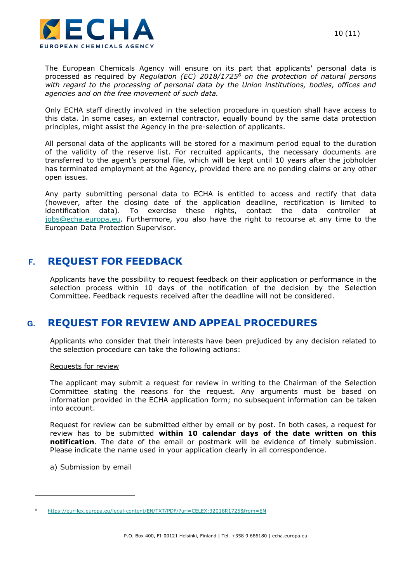

The European Chemicals Agency will ensure on its part that applicants' personal data is processed as required by *Regulation (EC) 2018/1725<sup>6</sup> on the protection of natural persons with regard to the processing of personal data by the Union institutions, bodies, offices and agencies and on the free movement of such data.* 

Only ECHA staff directly involved in the selection procedure in question shall have access to this data. In some cases, an external contractor, equally bound by the same data protection principles, might assist the Agency in the pre-selection of applicants.

All personal data of the applicants will be stored for a maximum period equal to the duration of the validity of the reserve list. For recruited applicants, the necessary documents are transferred to the agent's personal file, which will be kept until 10 years after the jobholder has terminated employment at the Agency, provided there are no pending claims or any other open issues.

Any party submitting personal data to ECHA is entitled to access and rectify that data (however, after the closing date of the application deadline, rectification is limited to identification data). To exercise these rights, contact the data controller at [jobs@echa.europa.eu.](mailto:jobs@echa.europa.eu) Furthermore, you also have the right to recourse at any time to the European Data Protection Supervisor.

## <span id="page-9-0"></span>**F. REQUEST FOR FEEDBACK**

Applicants have the possibility to request feedback on their application or performance in the selection process within 10 days of the notification of the decision by the Selection Committee. Feedback requests received after the deadline will not be considered.

## <span id="page-9-1"></span>**G. REQUEST FOR REVIEW AND APPEAL PROCEDURES**

Applicants who consider that their interests have been prejudiced by any decision related to the selection procedure can take the following actions:

#### Requests for review

The applicant may submit a request for review in writing to the Chairman of the Selection Committee stating the reasons for the request. Any arguments must be based on information provided in the ECHA application form; no subsequent information can be taken into account.

Request for review can be submitted either by email or by post. In both cases, a request for review has to be submitted **within 10 calendar days of the date written on this notification**. The date of the email or postmark will be evidence of timely submission. Please indicate the name used in your application clearly in all correspondence.

a) Submission by email

<sup>6</sup> <https://eur-lex.europa.eu/legal-content/EN/TXT/PDF/?uri=CELEX:32018R1725&from=EN>